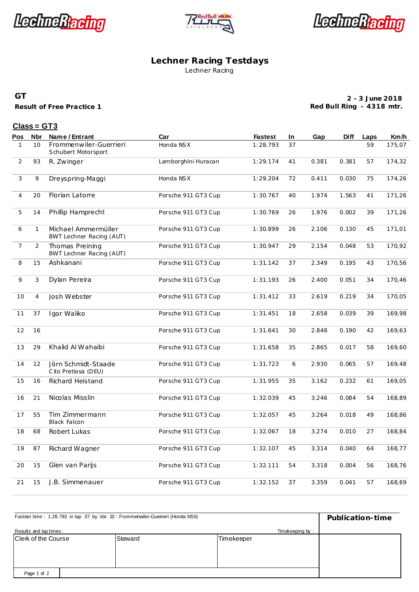





#### **Lechner Racing Testdays** Lechner Racing

#### **GT**

**Result of Free Practice 1**

**2 - 3 June 2018 Red Bull Ring - 4318 mtr.**

### **Class = GT3**

| <u>Pos</u>     | Nbr            | Name / Entrant                                  | Car                 | <b>Fastest</b> | In | Gap   | Diff  | Laps | Km/h   |
|----------------|----------------|-------------------------------------------------|---------------------|----------------|----|-------|-------|------|--------|
| $\mathbf{1}$   | 10             | Frommenwiler-Guerrieri<br>Schubert Motorsport   | Honda NSX           | 1:28.793       | 37 |       |       | 59   | 175,07 |
| $\overline{2}$ | 93             | R. Zwinger                                      | Lamborghini Huracan | 1:29.174       | 41 | 0.381 | 0.381 | 57   | 174,32 |
| 3              | 9              | Dreyspring-Maggi                                | Honda NSX           | 1:29.204       | 72 | 0.411 | 0.030 | 75   | 174,26 |
| 4              | 20             | Florian Latorre                                 | Porsche 911 GT3 Cup | 1:30.767       | 40 | 1.974 | 1.563 | 41   | 171,26 |
| 5              | 14             | Phillip Hamprecht                               | Porsche 911 GT3 Cup | 1:30.769       | 26 | 1.976 | 0.002 | 39   | 171,26 |
| 6              | $\mathbf{1}$   | Michael Ammermüller<br>BWT Lechner Racing (AUT) | Porsche 911 GT3 Cup | 1:30.899       | 26 | 2.106 | 0.130 | 45   | 171,01 |
| 7              | $\overline{a}$ | Thomas Preining<br>BWT Lechner Racing (AUT)     | Porsche 911 GT3 Cup | 1:30.947       | 29 | 2.154 | 0.048 | 53   | 170,92 |
| 8              | 15             | Ashkanani                                       | Porsche 911 GT3 Cup | 1:31.142       | 37 | 2.349 | 0.195 | 43   | 170,56 |
| 9              | 3              | Dylan Pereira                                   | Porsche 911 GT3 Cup | 1:31.193       | 26 | 2.400 | 0.051 | 34   | 170,46 |
| 10             | $\overline{4}$ | Josh Webster                                    | Porsche 911 GT3 Cup | 1:31.412       | 33 | 2.619 | 0.219 | 34   | 170,05 |
| 11             | 37             | Igor Waliko                                     | Porsche 911 GT3 Cup | 1:31.451       | 18 | 2.658 | 0.039 | 39   | 169,98 |
| 12             | 16             |                                                 | Porsche 911 GT3 Cup | 1:31.641       | 30 | 2.848 | 0.190 | 42   | 169,63 |
| 13             | 29             | Khalid Al Wahaibi                               | Porsche 911 GT3 Cup | 1:31.658       | 35 | 2.865 | 0.017 | 58   | 169,60 |
| 14             | 12             | Jörn Schmidt-Staade<br>Cito Pretiosa (DEU)      | Porsche 911 GT3 Cup | 1:31.723       | 6  | 2.930 | 0.065 | 57   | 169,48 |
| 15             | 16             | <b>Richard Heistand</b>                         | Porsche 911 GT3 Cup | 1:31.955       | 35 | 3.162 | 0.232 | 61   | 169,05 |
| 16             | 21             | Nicolas Misslin                                 | Porsche 911 GT3 Cup | 1:32.039       | 45 | 3.246 | 0.084 | 54   | 168,89 |
| 17             | 55             | Tim Zimmermann<br><b>Black Falcon</b>           | Porsche 911 GT3 Cup | 1:32.057       | 45 | 3.264 | 0.018 | 49   | 168,86 |
| 18             | 68             | Robert Lukas                                    | Porsche 911 GT3 Cup | 1:32.067       | 18 | 3.274 | 0.010 | 27   | 168,84 |
| 19             | 87             | Richard Wagner                                  | Porsche 911 GT3 Cup | 1:32.107       | 45 | 3.314 | 0.040 | 64   | 168,77 |
| 20             | 15             | Glen van Parijs                                 | Porsche 911 GT3 Cup | 1:32.111       | 54 | 3.318 | 0.004 | 56   | 168,76 |
| 21             | 15             | J.B. Simmenauer                                 | Porsche 911 GT3 Cup | 1:32.152       | 37 | 3.359 | 0.041 | 57   | 168,69 |

| Fastest time: 1:28.793 in lap 37 by nbr. 10 : Frommenwiler-Guerrieri (Honda NSX) | Publication-time |            |  |
|----------------------------------------------------------------------------------|------------------|------------|--|
| Results and lap times:                                                           |                  |            |  |
| Clerk of the Course                                                              | Steward          | Timekeeper |  |
|                                                                                  |                  |            |  |
|                                                                                  |                  |            |  |
|                                                                                  |                  |            |  |
| Page 1 of 2                                                                      |                  |            |  |